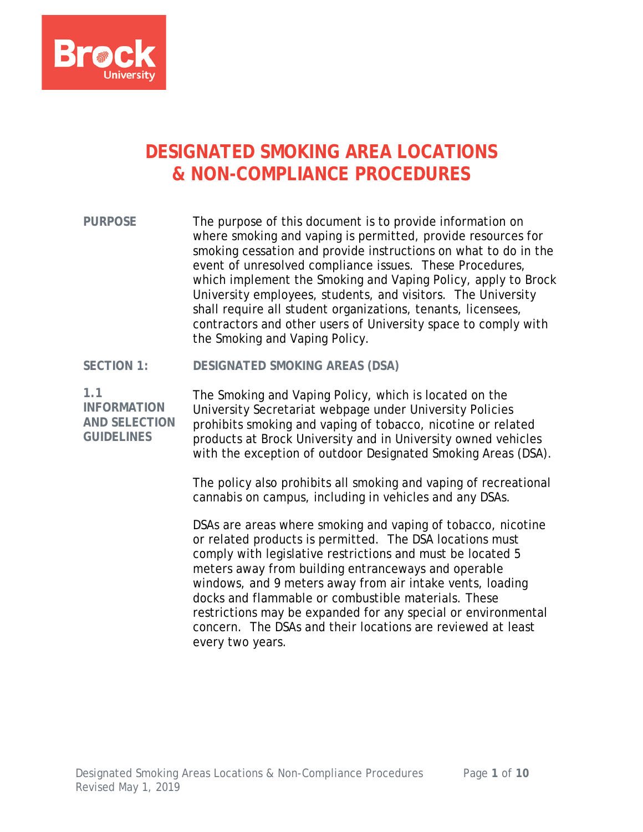

# **DESIGNATED SMOKING AREA LOCATIONS & NON-COMPLIANCE PROCEDURES**

**PURPOSE** The purpose of this document is to provide information on where smoking and vaping is permitted, provide resources for smoking cessation and provide instructions on what to do in the event of unresolved compliance issues. These Procedures, which implement the Smoking and Vaping Policy, apply to Brock University employees, students, and visitors. The University shall require all student organizations, tenants, licensees, contractors and other users of University space to comply with the Smoking and Vaping Policy.

#### **SECTION 1: DESIGNATED SMOKING AREAS (DSA)**

**1.1 INFORMATION AND SELECTION GUIDELINES**

The Smoking and Vaping Policy, which is located on the University Secretariat webpage under University Policies prohibits smoking and vaping of tobacco, nicotine or related products at Brock University and in University owned vehicles with the exception of outdoor Designated Smoking Areas (DSA).

The policy also prohibits all smoking and vaping of recreational cannabis on campus, including in vehicles and any DSAs.

DSAs are areas where smoking and vaping of tobacco, nicotine or related products is permitted. The DSA locations must comply with legislative restrictions and must be located 5 meters away from building entranceways and operable windows, and 9 meters away from air intake vents, loading docks and flammable or combustible materials. These restrictions may be expanded for any special or environmental concern. The DSAs and their locations are reviewed at least every two years.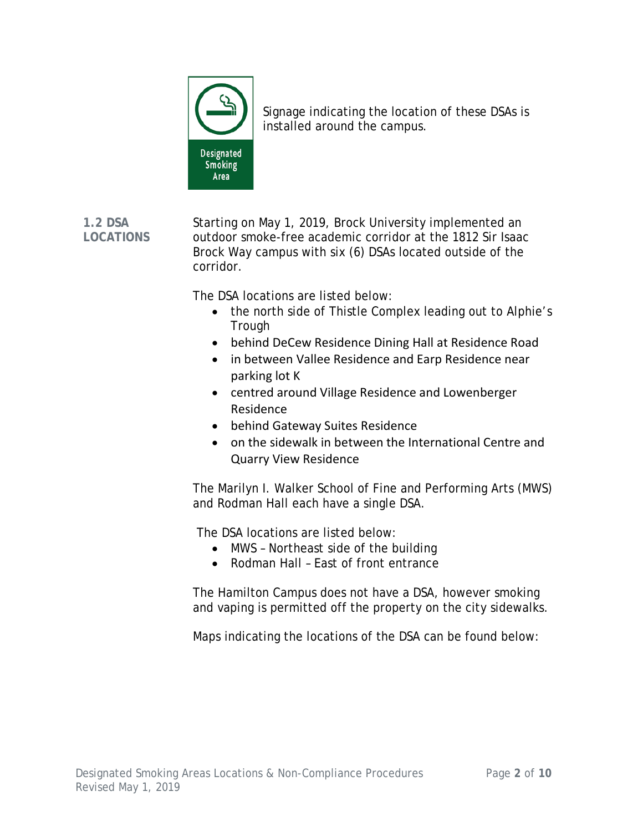

Signage indicating the location of these DSAs is installed around the campus.

**1.2 DSA LOCATIONS** Starting on May 1, 2019, Brock University implemented an outdoor smoke-free academic corridor at the 1812 Sir Isaac Brock Way campus with six (6) DSAs located outside of the corridor.

The DSA locations are listed below:

- the north side of Thistle Complex leading out to Alphie's Trough
- behind DeCew Residence Dining Hall at Residence Road
- in between Vallee Residence and Earp Residence near parking lot K
- centred around Village Residence and Lowenberger Residence
- behind Gateway Suites Residence
- on the sidewalk in between the International Centre and Quarry View Residence

The Marilyn I. Walker School of Fine and Performing Arts (MWS) and Rodman Hall each have a single DSA.

The DSA locations are listed below:

- MWS Northeast side of the building
- Rodman Hall East of front entrance

The Hamilton Campus does not have a DSA, however smoking and vaping is permitted off the property on the city sidewalks.

Maps indicating the locations of the DSA can be found below: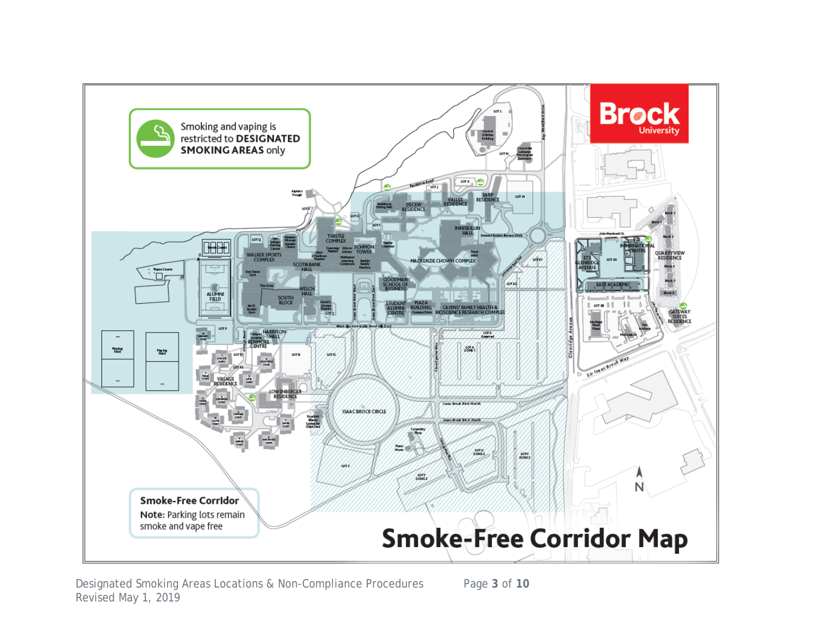

Designated Smoking Areas Locations & Non-Compliance Procedures Page **3** of **10** Revised May 1, 2019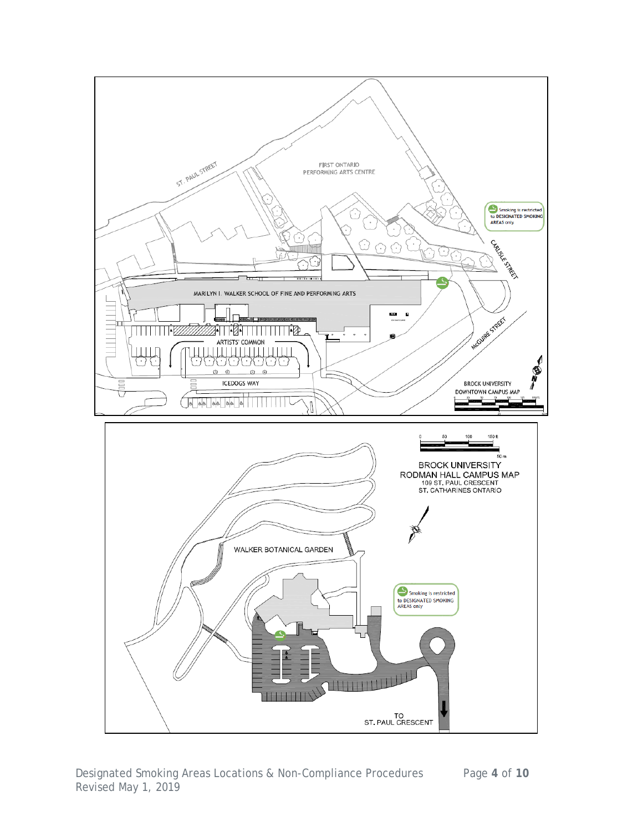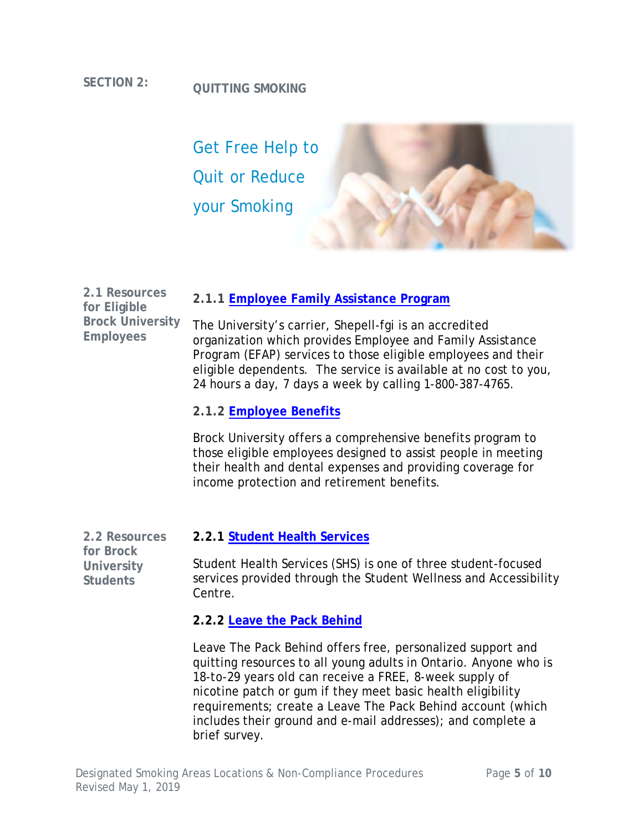# **SECTION 2: QUITTING SMOKING**



**2.1.1 [Employee Family Assistance Program](https://brocku.sharepoint.com/human-resources/Pages/Employee%20and%20Family%20Assistance%20Program.aspx)**

The University's carrier, Shepell-fgi is an accredited organization which provides Employee and Family Assistance Program (EFAP) services to those eligible employees and their eligible dependents. The service is available at no cost to you, 24 hours a day, 7 days a week by calling 1-800-387-4765.

#### **2.1.2 [Employee Benefits](https://brocku.sharepoint.com/human-resources/Pages/Benefits.aspx)**

Brock University offers a comprehensive benefits program to those eligible employees designed to assist people in meeting their health and dental expenses and providing coverage for income protection and retirement benefits.

**2.2 Resources for Brock University Students**

**2.1 Resources for Eligible** 

**Employees**

**Brock University** 

#### **2.2.1 [Student Health Services](https://brocku.ca/health-services/)**

Student Health Services (SHS) is one of three student-focused services provided through the Student Wellness and Accessibility Centre.

#### **2.2.2 [Leave the Pack Behind](https://leavethepackbehind.org/)**

Leave The Pack Behind offers free, personalized support and quitting resources to all young adults in Ontario. Anyone who is 18-to-29 years old can receive a FREE, 8-week supply of nicotine patch or gum if they meet basic health eligibility requirements; create a Leave The Pack Behind account (which includes their ground and e-mail addresses); and complete a brief survey.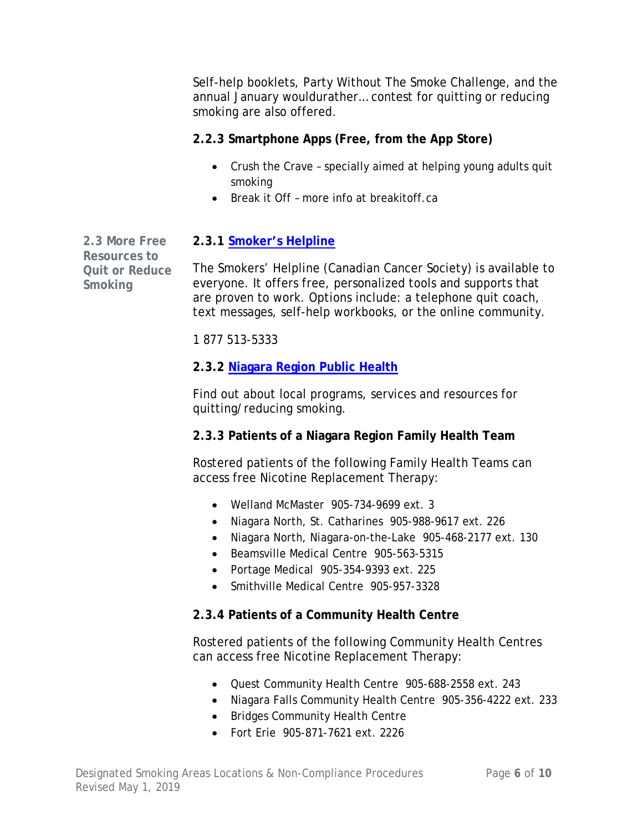Self-help booklets, Party Without The Smoke Challenge, and the annual January wouldurather… contest for quitting or reducing smoking are also offered.

### **2.2.3 Smartphone Apps (Free, from the App Store)**

- Crush the Crave specially aimed at helping young adults quit smoking
- Break it Off more info at breakitoff.ca

**2.3 More Free Resources to Quit or Reduce Smoking**

# **2.3.1 [Smoker's Helpline](https://www.smokershelpline.ca/)**

The Smokers' Helpline (Canadian Cancer Society) is available to everyone. It offers free, personalized tools and supports that are proven to work. Options include: a telephone quit coach, text messages, self-help workbooks, or the online community.

1 877 513-5333

# **2.3.2 [Niagara Region Public Health](https://niagararegion.ca/health/substances/tobacco/quitting-smoking.aspx)**

Find out about local programs, services and resources for quitting/reducing smoking.

# **2.3.3 Patients of a Niagara Region Family Health Team**

Rostered patients of the following Family Health Teams can access free Nicotine Replacement Therapy:

- Welland McMaster 905-734-9699 ext. 3
- Niagara North, St. Catharines 905-988-9617 ext. 226
- Niagara North, Niagara-on-the-Lake 905-468-2177 ext. 130
- Beamsville Medical Centre 905-563-5315
- Portage Medical 905-354-9393 ext. 225
- Smithville Medical Centre 905-957-3328

# **2.3.4 Patients of a Community Health Centre**

Rostered patients of the following Community Health Centres can access free Nicotine Replacement Therapy:

- Quest Community Health Centre 905-688-2558 ext. 243
- Niagara Falls Community Health Centre 905-356-4222 ext. 233
- Bridges Community Health Centre
- Fort Erie 905-871-7621 ext. 2226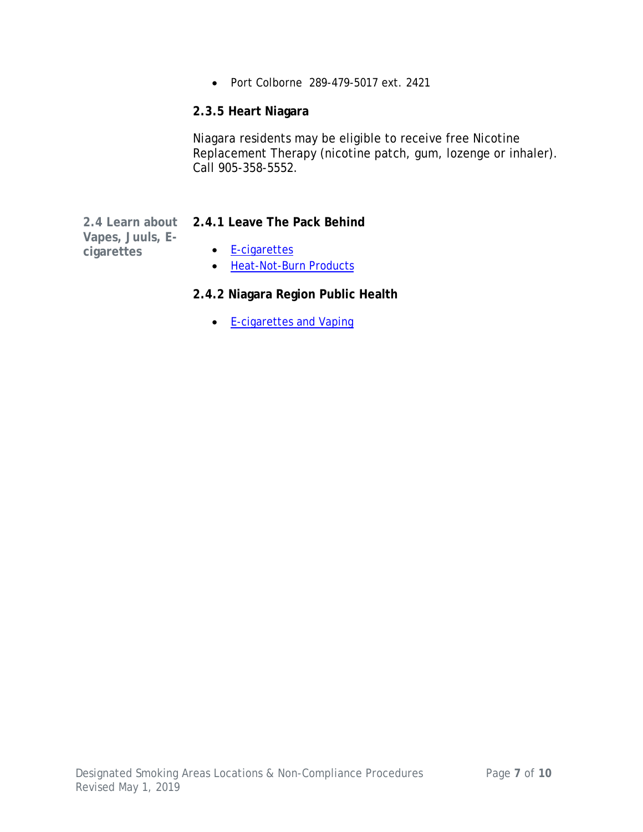• Port Colborne 289-479-5017 ext. 2421

#### **2.3.5 Heart Niagara**

Niagara residents may be eligible to receive free Nicotine Replacement Therapy (nicotine patch, gum, lozenge or inhaler). Call 905-358-5552.

**Vapes, Juuls, Ecigarettes**

#### **2.4 Learn about 2.4.1 Leave The Pack Behind**

- [E-cigarettes](https://leavethepackbehind.org/e-cigarettes/)
- [Heat-Not-Burn Products](https://leavethepackbehind.org/heat-not-burn-tobacco-products/)

#### **2.4.2 Niagara Region Public Health**

• [E-cigarettes and Vaping](https://www.niagararegion.ca/health/substances/tobacco/e-cigarettes.aspx)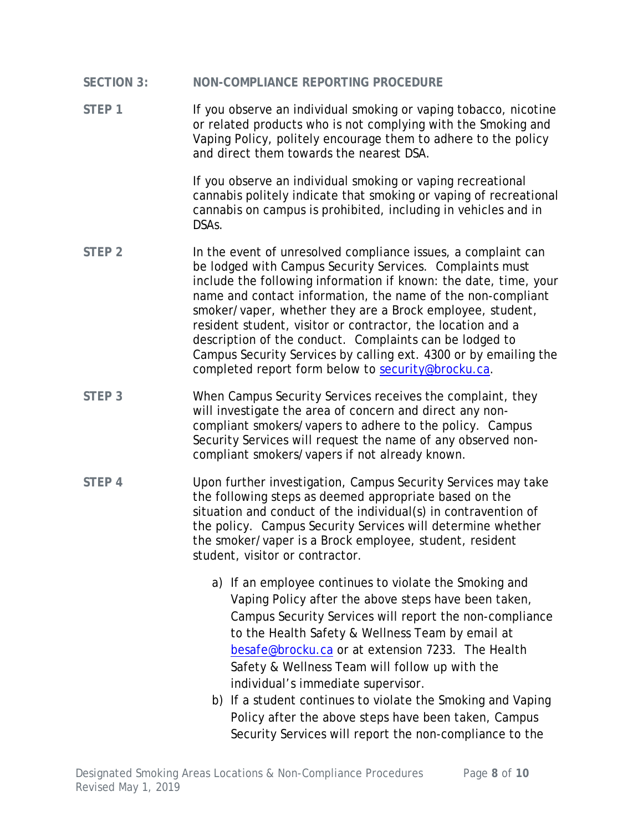- **SECTION 3: NON-COMPLIANCE REPORTING PROCEDURE**
- STEP 1 **If you observe an individual smoking or vaping tobacco, nicotine** or related products who is not complying with the Smoking and Vaping Policy, politely encourage them to adhere to the policy and direct them towards the nearest DSA.

If you observe an individual smoking or vaping recreational cannabis politely indicate that smoking or vaping of recreational cannabis on campus is prohibited, including in vehicles and in DSAs.

- STEP 2 **In the event of unresolved compliance issues, a complaint can** be lodged with Campus Security Services. Complaints must include the following information if known: the date, time, your name and contact information, the name of the non-compliant smoker/vaper, whether they are a Brock employee, student, resident student, visitor or contractor, the location and a description of the conduct. Complaints can be lodged to Campus Security Services by calling ext. 4300 or by emailing the completed report form below to [security@brocku.ca.](mailto:security@brocku.ca)
- **STEP 3** When Campus Security Services receives the complaint, they will investigate the area of concern and direct any noncompliant smokers/vapers to adhere to the policy. Campus Security Services will request the name of any observed noncompliant smokers/vapers if not already known.
- **STEP 4** Upon further investigation, Campus Security Services may take the following steps as deemed appropriate based on the situation and conduct of the individual(s) in contravention of the policy. Campus Security Services will determine whether the smoker/vaper is a Brock employee, student, resident student, visitor or contractor.
	- a) If an employee continues to violate the Smoking and Vaping Policy after the above steps have been taken, Campus Security Services will report the non-compliance to the Health Safety & Wellness Team by email at [besafe@brocku.ca](mailto:besafe@brocku.ca) or at extension 7233. The Health Safety & Wellness Team will follow up with the individual's immediate supervisor.
	- b) If a student continues to violate the Smoking and Vaping Policy after the above steps have been taken, Campus Security Services will report the non-compliance to the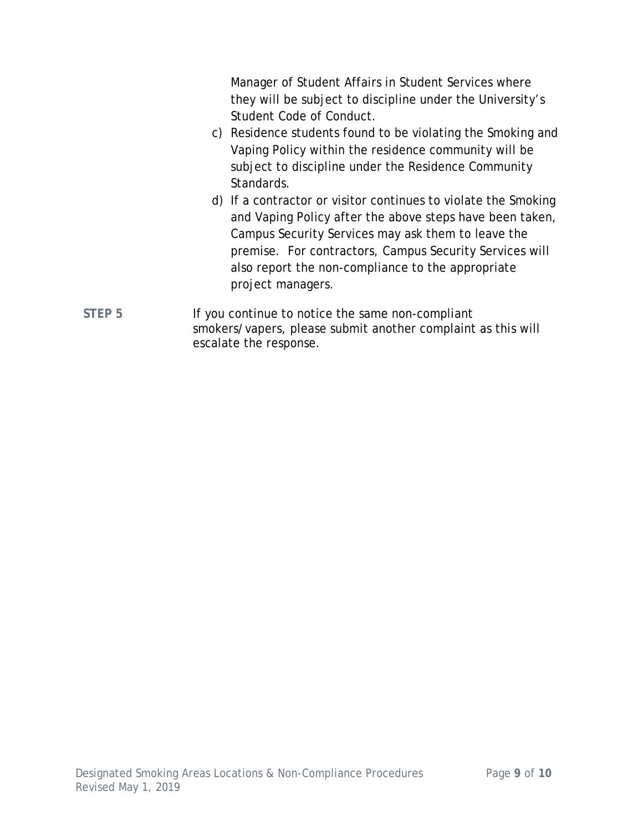Manager of Student Affairs in Student Services where they will be subject to discipline under the University's Student Code of Conduct. c) Residence students found to be violating the Smoking and Vaping Policy within the residence community will be subject to discipline under the Residence Community Standards. d) If a contractor or visitor continues to violate the Smoking and Vaping Policy after the above steps have been taken, Campus Security Services may ask them to leave the premise. For contractors, Campus Security Services will also report the non-compliance to the appropriate project managers. STEP 5 **If you continue to notice the same non-compliant** smokers/vapers, please submit another complaint as this will escalate the response.